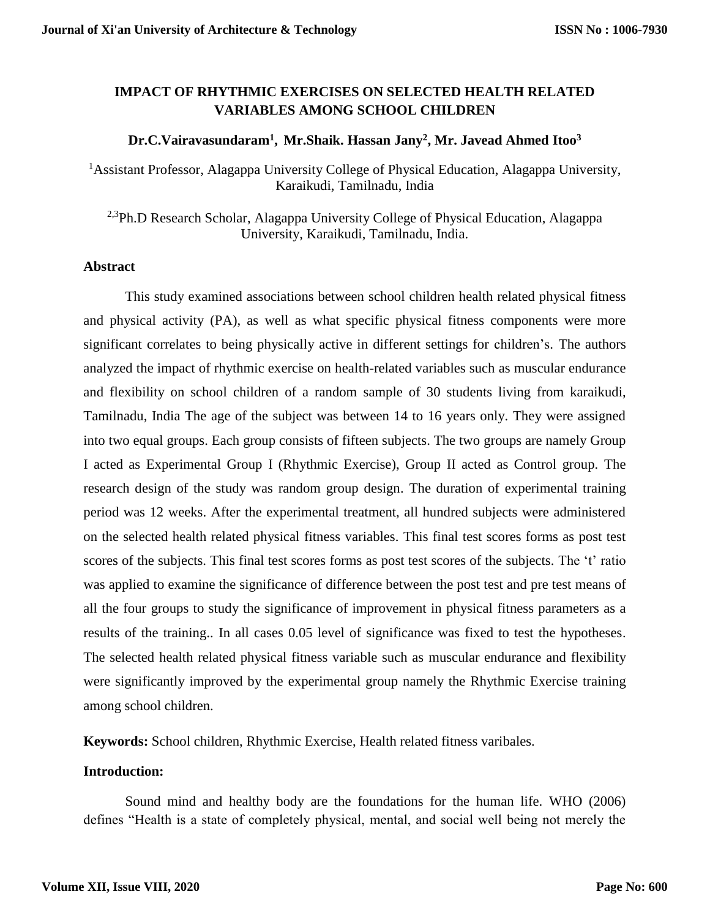# **IMPACT OF RHYTHMIC EXERCISES ON SELECTED HEALTH RELATED VARIABLES AMONG SCHOOL CHILDREN**

## **Dr.C.Vairavasundaram<sup>1</sup> , Mr.Shaik. Hassan Jany<sup>2</sup> , Mr. Javead Ahmed Itoo<sup>3</sup>**

<sup>1</sup> Assistant Professor, Alagappa University College of Physical Education, Alagappa University, Karaikudi, Tamilnadu, India

<sup>2,3</sup>Ph.D Research Scholar, Alagappa University College of Physical Education, Alagappa University, Karaikudi, Tamilnadu, India.

### **Abstract**

This study examined associations between school children health related physical fitness and physical activity (PA), as well as what specific physical fitness components were more significant correlates to being physically active in different settings for children's. The authors analyzed the impact of rhythmic exercise on health-related variables such as muscular endurance and flexibility on school children of a random sample of 30 students living from karaikudi, Tamilnadu, India The age of the subject was between 14 to 16 years only. They were assigned into two equal groups. Each group consists of fifteen subjects. The two groups are namely Group I acted as Experimental Group I (Rhythmic Exercise), Group II acted as Control group. The research design of the study was random group design. The duration of experimental training period was 12 weeks. After the experimental treatment, all hundred subjects were administered on the selected health related physical fitness variables. This final test scores forms as post test scores of the subjects. This final test scores forms as post test scores of the subjects. The 't' ratio was applied to examine the significance of difference between the post test and pre test means of all the four groups to study the significance of improvement in physical fitness parameters as a results of the training.. In all cases 0.05 level of significance was fixed to test the hypotheses. The selected health related physical fitness variable such as muscular endurance and flexibility were significantly improved by the experimental group namely the Rhythmic Exercise training among school children.

**Keywords:** School children, Rhythmic Exercise, Health related fitness varibales.

## **Introduction:**

Sound mind and healthy body are the foundations for the human life. WHO (2006) defines "Health is a state of completely physical, mental, and social well being not merely the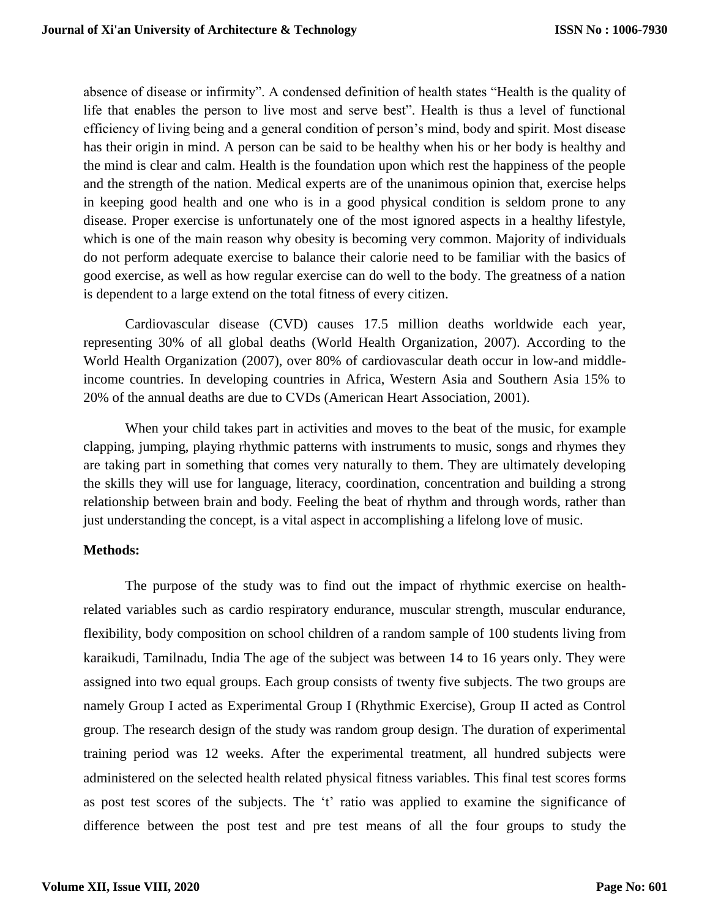absence of disease or infirmity". A condensed definition of health states "Health is the quality of life that enables the person to live most and serve best". Health is thus a level of functional efficiency of living being and a general condition of person's mind, body and spirit. Most disease has their origin in mind. A person can be said to be healthy when his or her body is healthy and the mind is clear and calm. Health is the foundation upon which rest the happiness of the people and the strength of the nation. Medical experts are of the unanimous opinion that, exercise helps in keeping good health and one who is in a good physical condition is seldom prone to any disease. Proper exercise is unfortunately one of the most ignored aspects in a healthy lifestyle, which is one of the main reason why obesity is becoming very common. Majority of individuals do not perform adequate exercise to balance their calorie need to be familiar with the basics of good exercise, as well as how regular exercise can do well to the body. The greatness of a nation is dependent to a large extend on the total fitness of every citizen.

Cardiovascular disease (CVD) causes 17.5 million deaths worldwide each year, representing 30% of all global deaths (World Health Organization, 2007). According to the World Health Organization (2007), over 80% of cardiovascular death occur in low-and middleincome countries. In developing countries in Africa, Western Asia and Southern Asia 15% to 20% of the annual deaths are due to CVDs (American Heart Association, 2001).

When your child takes part in activities and moves to the beat of the music, for example clapping, jumping, playing rhythmic patterns with instruments to music, songs and rhymes they are taking part in something that comes very naturally to them. They are ultimately developing the skills they will use for language, literacy, coordination, concentration and building a strong relationship between brain and body. Feeling the beat of rhythm and through words, rather than just understanding the concept, is a vital aspect in accomplishing a lifelong love of music.

## **Methods:**

The purpose of the study was to find out the impact of rhythmic exercise on healthrelated variables such as cardio respiratory endurance, muscular strength, muscular endurance, flexibility, body composition on school children of a random sample of 100 students living from karaikudi, Tamilnadu, India The age of the subject was between 14 to 16 years only. They were assigned into two equal groups. Each group consists of twenty five subjects. The two groups are namely Group I acted as Experimental Group I (Rhythmic Exercise), Group II acted as Control group. The research design of the study was random group design. The duration of experimental training period was 12 weeks. After the experimental treatment, all hundred subjects were administered on the selected health related physical fitness variables. This final test scores forms as post test scores of the subjects. The 't' ratio was applied to examine the significance of difference between the post test and pre test means of all the four groups to study the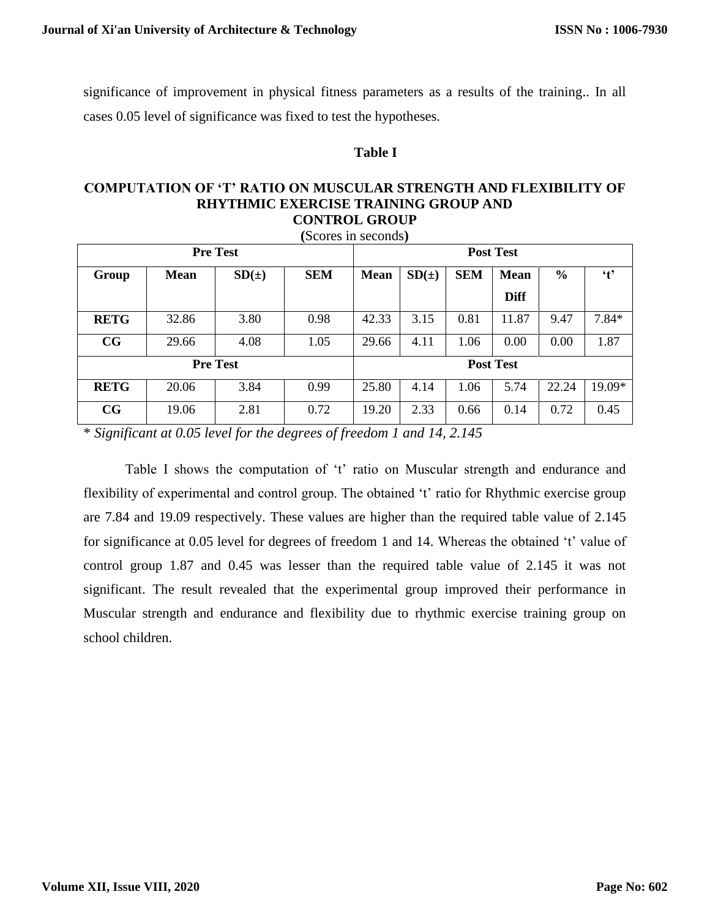significance of improvement in physical fitness parameters as a results of the training.. In all cases 0.05 level of significance was fixed to test the hypotheses.

## **Table I**

#### **COMPUTATION OF 'T' RATIO ON MUSCULAR STRENGTH AND FLEXIBILITY OF RHYTHMIC EXERCISE TRAINING GROUP AND CONTROL GROUP**

| (Scores in seconds) |             |       |            |                  |       |            |             |               |           |
|---------------------|-------------|-------|------------|------------------|-------|------------|-------------|---------------|-----------|
| <b>Pre Test</b>     |             |       |            | <b>Post Test</b> |       |            |             |               |           |
| Group               | <b>Mean</b> | SD(±) | <b>SEM</b> | <b>Mean</b>      | SD(±) | <b>SEM</b> | <b>Mean</b> | $\frac{0}{0}$ | $\cdot$ t |
|                     |             |       |            |                  |       |            | <b>Diff</b> |               |           |
| <b>RETG</b>         | 32.86       | 3.80  | 0.98       | 42.33            | 3.15  | 0.81       | 11.87       | 9.47          | $7.84*$   |
| CG                  | 29.66       | 4.08  | 1.05       | 29.66            | 4.11  | 1.06       | 0.00        | 0.00          | 1.87      |
| <b>Pre Test</b>     |             |       |            | <b>Post Test</b> |       |            |             |               |           |
| <b>RETG</b>         | 20.06       | 3.84  | 0.99       | 25.80            | 4.14  | 1.06       | 5.74        | 22.24         | 19.09*    |
| CG                  | 19.06       | 2.81  | 0.72       | 19.20            | 2.33  | 0.66       | 0.14        | 0.72          | 0.45      |

\* *Significant at 0.05 level for the degrees of freedom 1 and 14, 2.145*

Table I shows the computation of 't' ratio on Muscular strength and endurance and flexibility of experimental and control group. The obtained 't' ratio for Rhythmic exercise group are 7.84 and 19.09 respectively. These values are higher than the required table value of 2.145 for significance at 0.05 level for degrees of freedom 1 and 14. Whereas the obtained 't' value of control group 1.87 and 0.45 was lesser than the required table value of 2.145 it was not significant. The result revealed that the experimental group improved their performance in Muscular strength and endurance and flexibility due to rhythmic exercise training group on school children.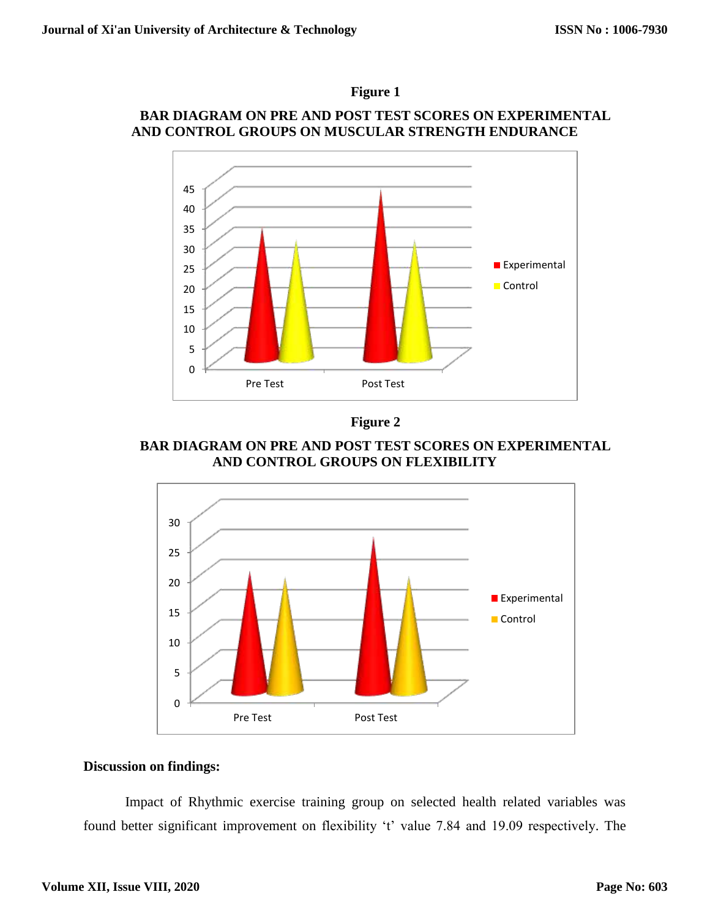

# **BAR DIAGRAM ON PRE AND POST TEST SCORES ON EXPERIMENTAL AND CONTROL GROUPS ON MUSCULAR STRENGTH ENDURANCE**



**Figure 2**

**BAR DIAGRAM ON PRE AND POST TEST SCORES ON EXPERIMENTAL AND CONTROL GROUPS ON FLEXIBILITY**



## **Discussion on findings:**

Impact of Rhythmic exercise training group on selected health related variables was found better significant improvement on flexibility 't' value 7.84 and 19.09 respectively. The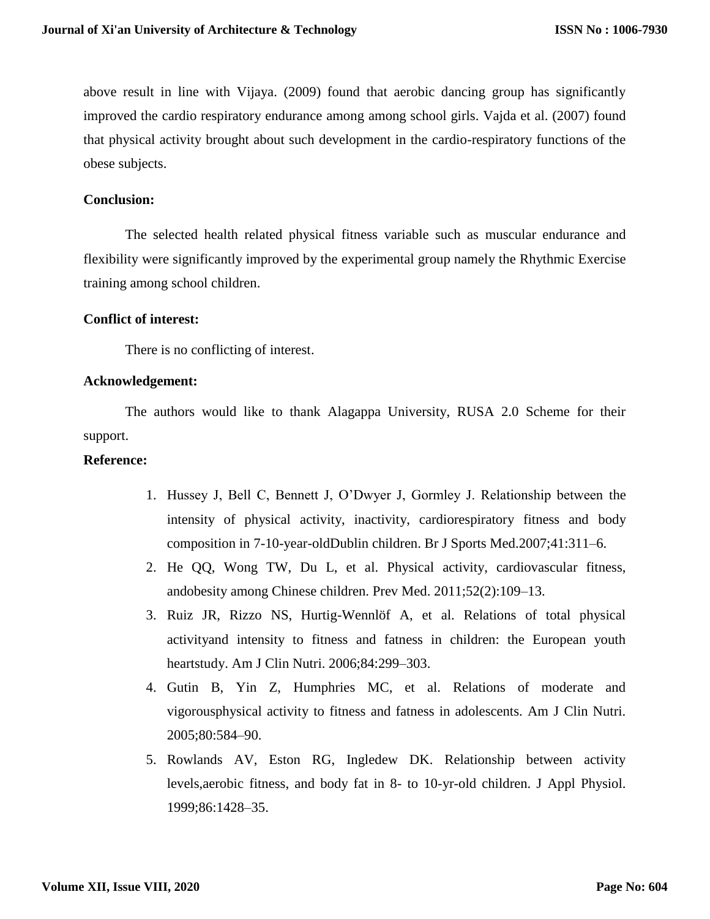above result in line with Vijaya. (2009) found that aerobic dancing group has significantly improved the cardio respiratory endurance among among school girls. Vajda et al. (2007) found that physical activity brought about such development in the cardio-respiratory functions of the obese subjects.

## **Conclusion:**

The selected health related physical fitness variable such as muscular endurance and flexibility were significantly improved by the experimental group namely the Rhythmic Exercise training among school children.

## **Conflict of interest:**

There is no conflicting of interest.

### **Acknowledgement:**

The authors would like to thank Alagappa University, RUSA 2.0 Scheme for their support.

#### **Reference:**

- 1. Hussey J, Bell C, Bennett J, O'Dwyer J, Gormley J. Relationship between the intensity of physical activity, inactivity, cardiorespiratory fitness and body composition in 7-10-year-oldDublin children. Br J Sports Med.2007;41:311–6.
- 2. He QQ, Wong TW, Du L, et al. Physical activity, cardiovascular fitness, andobesity among Chinese children. Prev Med. 2011;52(2):109–13.
- 3. Ruiz JR, Rizzo NS, Hurtig-Wennlöf A, et al. Relations of total physical activityand intensity to fitness and fatness in children: the European youth heartstudy. Am J Clin Nutri. 2006;84:299–303.
- 4. Gutin B, Yin Z, Humphries MC, et al. Relations of moderate and vigorousphysical activity to fitness and fatness in adolescents. Am J Clin Nutri. 2005;80:584–90.
- 5. Rowlands AV, Eston RG, Ingledew DK. Relationship between activity levels,aerobic fitness, and body fat in 8- to 10-yr-old children. J Appl Physiol. 1999;86:1428–35.